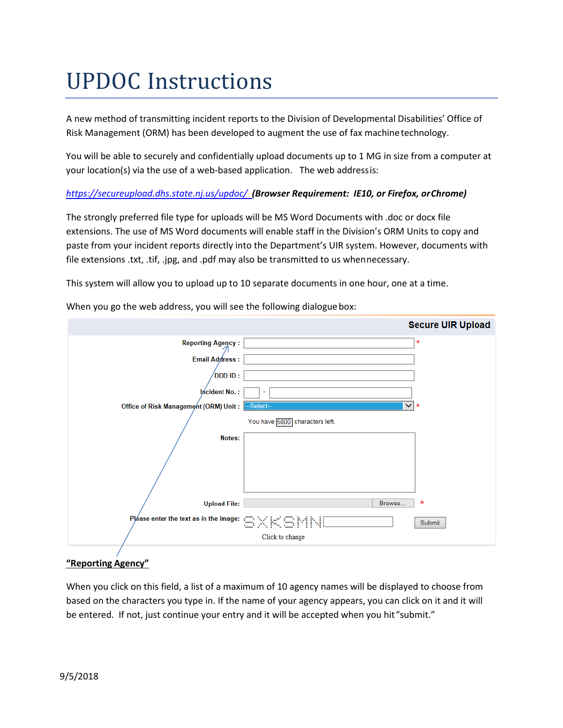# UPDOC Instructions

A new method of transmitting incident reports to the Division of Developmental Disabilities' Office of Risk Management (ORM) has been developed to augment the use of fax machinetechnology.

You will be able to securely and confidentially upload documents up to 1 MG in size from a computer at your location(s) via the use of a web-based application. The web addressis:

### *<https://secureupload.dhs.state.nj.us/updoc/>(Browser Requirement: IE10, or Firefox, orChrome)*

The strongly preferred file type for uploads will be MS Word Documents with .doc or docx file extensions. The use of MS Word documents will enable staff in the Division's ORM Units to copy and paste from your incident reports directly into the Department's UIR system. However, documents with file extensions .txt, .tif, .jpg, and .pdf may also be transmitted to us whennecessary.

This system will allow you to upload up to 10 separate documents in one hour, one at a time.

|                                                                                             | <b>Secure UIR Upload</b>       |
|---------------------------------------------------------------------------------------------|--------------------------------|
| <b>Reporting Agency:</b>                                                                    | *                              |
| <b>Email Address:</b>                                                                       |                                |
| DDD ID :                                                                                    |                                |
| lncident No.:                                                                               | ٠                              |
| Office of Risk Management (ORM) Unit:                                                       | $\vee$ *<br>--Select--         |
|                                                                                             | You have 5000 characters left. |
| Notes:                                                                                      |                                |
|                                                                                             |                                |
|                                                                                             |                                |
| <b>Upload File:</b>                                                                         | *<br>Browse                    |
| Pléase enter the text as in the image: $\subseteq \times \in$ $\subseteq$ $\wedge$ $\wedge$ | Submit                         |
|                                                                                             | Click to change                |

When you go the web address, you will see the following dialogue box:

### **"Reporting Agency"**

When you click on this field, a list of a maximum of 10 agency names will be displayed to choose from based on the characters you type in. If the name of your agency appears, you can click on it and it will be entered. If not, just continue your entry and it will be accepted when you hit "submit."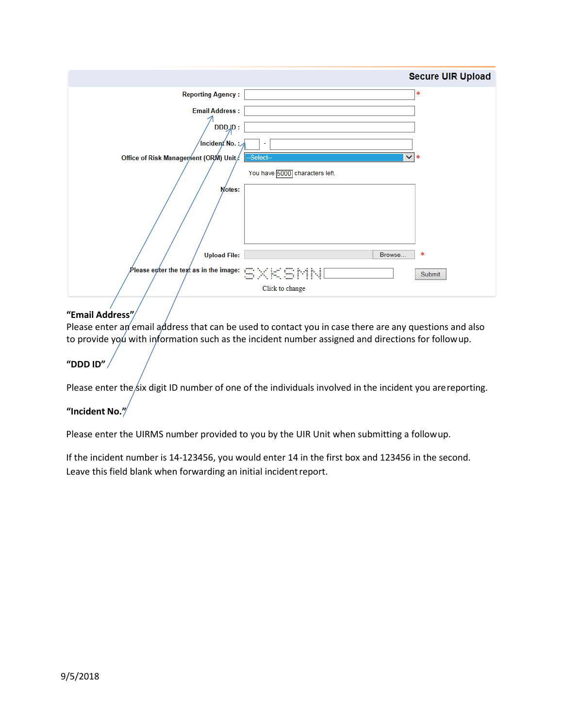|                                                                                                                                                                    |                                | <b>Secure UIR Upload</b> |
|--------------------------------------------------------------------------------------------------------------------------------------------------------------------|--------------------------------|--------------------------|
| <b>Reporting Agency:</b>                                                                                                                                           |                                | *                        |
| <b>Email Address:</b>                                                                                                                                              |                                |                          |
| DDJD:                                                                                                                                                              |                                |                          |
| $^{\prime}$ Incident $^{\prime}$ No. : $_{\times}$                                                                                                                 | ٠                              |                          |
| Office of Risk Management (ORM) Unit/                                                                                                                              | $\vee$ *<br>--Select--         |                          |
|                                                                                                                                                                    | You have 5000 characters left. |                          |
| Notes:                                                                                                                                                             |                                |                          |
|                                                                                                                                                                    |                                |                          |
| <b>Upload File:</b>                                                                                                                                                | Browse                         | *                        |
| Please eyter the text as in the image: $\subseteq\hspace*{-1mm}\times\hspace*{-1mm} \mathbb{K} \hspace*{-2mm}\in\hspace*{-2mm} \mathbb{M}\hspace*{-1mm}\mathbb{N}$ |                                | Submit                   |
|                                                                                                                                                                    | Click to change                |                          |

### **"Email Address"**

Please enter an email address that can be used to contact you in case there are any questions and also to provide you with information such as the incident number assigned and directions for followup.

### **"DDD ID"**

Please enter the six digit ID number of one of the individuals involved in the incident you are reporting.

### **"Incident No."**

Please enter the UIRMS number provided to you by the UIR Unit when submitting a followup.

If the incident number is 14-123456, you would enter 14 in the first box and 123456 in the second. Leave this field blank when forwarding an initial incident report.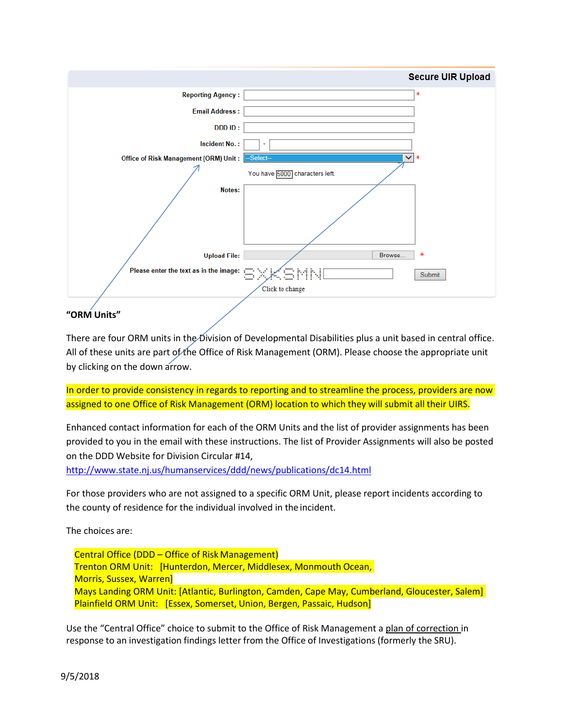

## There are four ORM units in the Division of Developmental Disabilities plus a unit based in central office. All of these units are part of the Office of Risk Management (ORM). Please choose the appropriate unit

by clicking on the down arrow.

In order to provide consistency in regards to reporting and to streamline the process, providers are now assigned to one Office of Risk Management (ORM) location to which they will submit all their UIRS.

Enhanced contact information for each of the ORM Units and the list of provider assignments has been provided to you in the email with these instructions. The list of Provider Assignments will also be posted on the DDD Website for Division Circular #14,

<http://www.state.nj.us/humanservices/ddd/news/publications/dc14.html>

For those providers who are not assigned to a specific ORM Unit, please report incidents according to the county of residence for the individual involved in the incident.

The choices are:

Central Office (DDD – Office of Risk Management) Trenton ORM Unit: [Hunterdon, Mercer, Middlesex, Monmouth Ocean, Morris, Sussex, Warren] Mays Landing ORM Unit: [Atlantic, Burlington, Camden, Cape May, Cumberland, Gloucester, Salem] Plainfield ORM Unit: [Essex, Somerset, Union, Bergen, Passaic, Hudson]

Use the "Central Office" choice to submit to the Office of Risk Management a plan of correction in response to an investigation findings letter from the Office of Investigations (formerly the SRU).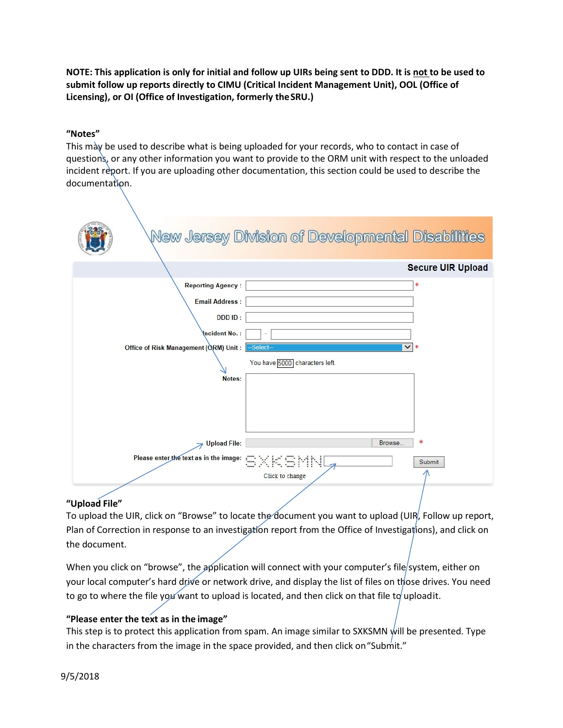**NOTE: This application is only for initial and follow up UIRs being sent to DDD. It is not to be used to submit follow up reports directly to CIMU (Critical Incident Management Unit), OOL (Office of Licensing), or OI (Office of Investigation, formerly theSRU.)**

### **"Notes"**

This may be used to describe what is being uploaded for your records, who to contact in case of questions, or any other information you want to provide to the ORM unit with respect to the unloaded incident report. If you are uploading other documentation, this section could be used to describe the documentation.

|                                                                                                                                        | New Jersey Division of Developmental Disabilities         |                          |
|----------------------------------------------------------------------------------------------------------------------------------------|-----------------------------------------------------------|--------------------------|
|                                                                                                                                        |                                                           | <b>Secure UIR Upload</b> |
| <b>Reporting Agency:</b><br><b>Email Address:</b><br><b>DDDID:</b><br>Incident No.:<br>Office of Risk Management (ORM) Unit:<br>Notes: | Select-<br>$\checkmark$<br>You have 5000 characters left. | ∗<br>*                   |
| <b>Upload File:</b><br>Please enter the text as in the image: CXKSMN                                                                   | Browse<br>Click to change                                 | *<br>Submit              |

### **"Upload File"**

To upload the UIR, click on "Browse" to locate the document you want to upload (UIR, Follow up report, Plan of Correction in response to an investigation report from the Office of Investigations), and click on the document.

When you click on "browse", the application will connect with your computer's file system, either on your local computer's hard drive or network drive, and display the list of files on those drives. You need to go to where the file you want to upload is located, and then click on that file to upload it.

### **"Please enter the text as in the image"**

This step is to protect this application from spam. An image similar to SXKSMN will be presented. Type in the characters from the image in the space provided, and then click on "Submit."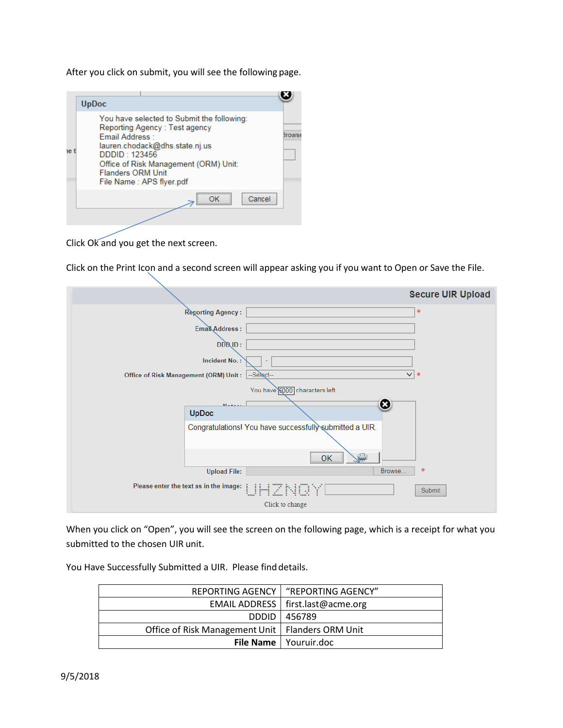After you click on submit, you will see the following page.



Click Ok and you get the next screen.

Click on the Print Icon and a second screen will appear asking you if you want to Open or Save the File.

|                                        | <b>Secure UIR Upload</b>                                |
|----------------------------------------|---------------------------------------------------------|
| <b>Reporting Agency:</b>               | ∗                                                       |
| Email Address:                         |                                                         |
| DDBID:                                 |                                                         |
| Incident No.:                          | ٠                                                       |
| Office of Risk Management (ORM) Unit:  | $\vee$ *<br>--Select--                                  |
|                                        | You have 5000 characters left.                          |
| $M = 4 - 1$<br><b>UpDoc</b>            | ☺                                                       |
|                                        | Congratulations! You have successfully submitted a UIR. |
|                                        | OK                                                      |
| <b>Upload File:</b>                    | *<br>Browse                                             |
| Please enter the text as in the image: | JHZNQY<br>Submit<br>لسنة                                |
|                                        | Click to change                                         |

When you click on "Open", you will see the screen on the following page, which is a receipt for what you submitted to the chosen UIR unit.

You Have Successfully Submitted a UIR. Please find details.

|                                                    | REPORTING AGENCY   "REPORTING AGENCY" |
|----------------------------------------------------|---------------------------------------|
|                                                    | EMAIL ADDRESS   first.last@acme.org   |
|                                                    | DDDID   456789                        |
| Office of Risk Management Unit   Flanders ORM Unit |                                       |
|                                                    | <b>File Name</b>   Youruir.doc        |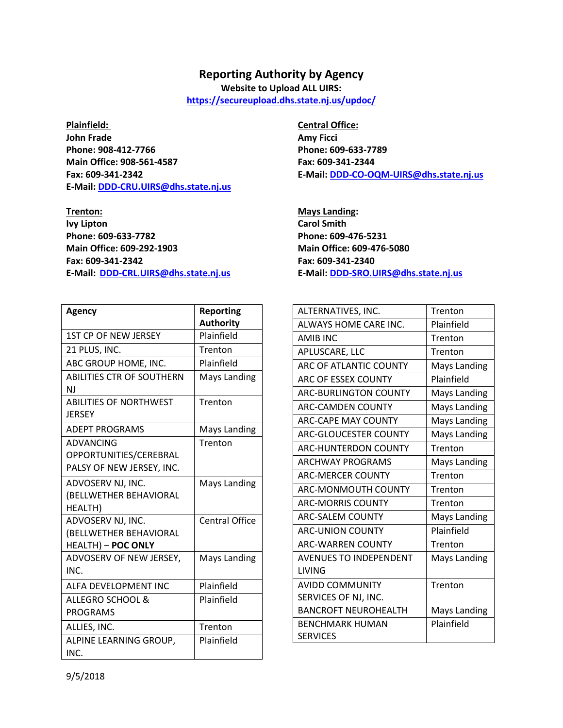### **Reporting Authority by Agency**

**Website to Upload ALL UIRS:**

**<https://secureupload.dhs.state.nj.us/updoc/>**

**John Frade Amy Ficci Amy Ficci Amy Ficci Phone: 908-412-7766 Phone: 609-633-7789 Main Office: 908-561-4587 Fax: 609-341-2344 E-Mail[: DDD-CRU.UIRS@dhs.state.nj.us](mailto:DDD-CRU.UIRS@dhs.state.nj.us)**

**Ivy Lipton Carol Smith Phone: 609-633-7782 Phone: 609-476-5231 Main Office: 609-292-1903 Main Office: 609-476-5080 Fax: 609-341-2342 Fax: 609-341-2340 E-Mail: [DDD-CRL.UIRS@dhs.state.nj.us](mailto:DDD-CRL.UIRS@dhs.state.nj.us) E-Mail[: DDD-SRO.UIRS@dhs.state.nj.us](mailto:DDD-SRO.UIRS@dhs.state.nj.us)**

| Agency                           | <b>Reporting</b>      |
|----------------------------------|-----------------------|
|                                  | <b>Authority</b>      |
| <b>1ST CP OF NEW JERSEY</b>      | Plainfield            |
| 21 PLUS, INC.                    | Trenton               |
| ABC GROUP HOME, INC.             | Plainfield            |
| <b>ABILITIES CTR OF SOUTHERN</b> | <b>Mays Landing</b>   |
| N.I                              |                       |
| <b>ABILITIES OF NORTHWEST</b>    | Trenton               |
| <b>JERSEY</b>                    |                       |
| <b>ADEPT PROGRAMS</b>            | <b>Mays Landing</b>   |
| <b>ADVANCING</b>                 | Trenton               |
| OPPORTUNITIES/CEREBRAL           |                       |
| PALSY OF NEW JERSEY, INC.        |                       |
| ADVOSERV NJ, INC.                | <b>Mays Landing</b>   |
| (BELLWETHER BEHAVIORAL           |                       |
| HEALTH)                          |                       |
| ADVOSERV NJ, INC.                | <b>Central Office</b> |
| (BELLWETHER BEHAVIORAL           |                       |
| HEALTH) - POC ONLY               |                       |
| ADVOSERV OF NEW JERSEY,          | Mays Landing          |
| INC.                             |                       |
| <b>ALFA DEVELOPMENT INC</b>      | Plainfield            |
| <b>ALLEGRO SCHOOL &amp;</b>      | Plainfield            |
| <b>PROGRAMS</b>                  |                       |
| ALLIES, INC.                     | Trenton               |
| ALPINE LEARNING GROUP,           | Plainfield            |
| INC.                             |                       |

**Plainfield: Central Office: Fax: 609-341-2342 E-Mail[: DDD-CO-OQM-UIRS@dhs.state.nj.us](mailto:DDD-CO-OQM-UIRS@dhs.state.nj.us)**

**Trenton: Mays Landing:**

| ALTERNATIVES, INC.            | Trenton      |
|-------------------------------|--------------|
| ALWAYS HOME CARE INC.         | Plainfield   |
| <b>AMIR INC</b>               | Trenton      |
| APLUSCARE, LLC                | Trenton      |
| <b>ARC OF ATLANTIC COUNTY</b> | Mays Landing |
| ARC OF ESSEX COUNTY           | Plainfield   |
| <b>ARC-BURLINGTON COUNTY</b>  | Mays Landing |
| <b>ARC-CAMDEN COUNTY</b>      | Mays Landing |
| <b>ARC-CAPF MAY COUNTY</b>    | Mays Landing |
| <b>ARC-GLOUCESTER COUNTY</b>  | Mays Landing |
| <b>ARC-HUNTERDON COUNTY</b>   | Trenton      |
| <b>ARCHWAY PROGRAMS</b>       | Mays Landing |
| <b>ARC-MERCER COUNTY</b>      | Trenton      |
| ARC-MONMOUTH COUNTY           | Trenton      |
| <b>ARC-MORRIS COUNTY</b>      | Trenton      |
| <b>ARC-SALFM COUNTY</b>       | Mays Landing |
| <b>ARC-UNION COUNTY</b>       | Plainfield   |
| <b>ARC-WARREN COUNTY</b>      | Trenton      |
| <b>AVENUES TO INDEPENDENT</b> | Mays Landing |
| LIVING                        |              |
| <b>AVIDD COMMUNITY</b>        | Trenton      |
| SERVICES OF NJ, INC.          |              |
| <b>BANCROFT NEUROHEALTH</b>   | Mays Landing |
| <b>BENCHMARK HUMAN</b>        | Plainfield   |
| <b>SERVICES</b>               |              |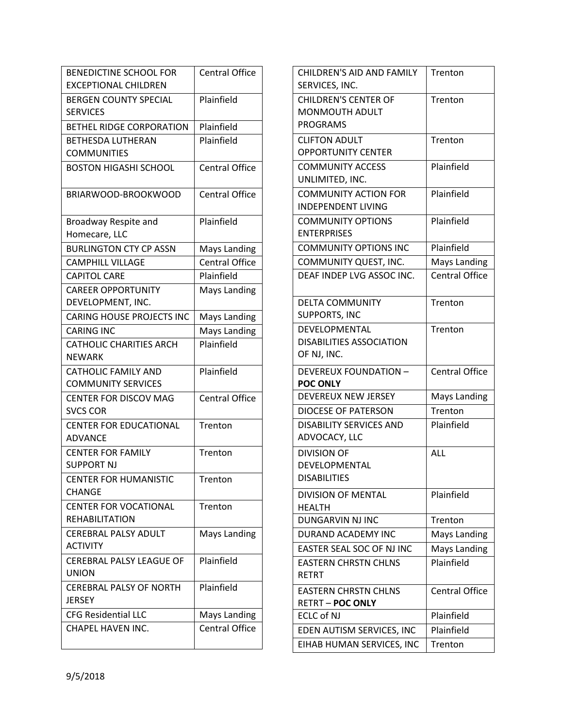| <b>BENEDICTINE SCHOOL FOR</b><br><b>EXCEPTIONAL CHILDREN</b> | <b>Central Office</b> |
|--------------------------------------------------------------|-----------------------|
| <b>BERGEN COUNTY SPECIAL</b>                                 | Plainfield            |
| <b>SERVICES</b>                                              |                       |
| <b>BETHEL RIDGE CORPORATION</b>                              | Plainfield            |
| <b>BETHESDA LUTHERAN</b><br><b>COMMUNITIES</b>               | Plainfield            |
| <b>BOSTON HIGASHI SCHOOL</b>                                 | <b>Central Office</b> |
| BRIARWOOD-BROOKWOOD                                          | <b>Central Office</b> |
| Broadway Respite and                                         | Plainfield            |
| Homecare, LLC                                                |                       |
| <b>BURLINGTON CTY CP ASSN</b>                                | <b>Mays Landing</b>   |
| <b>CAMPHILL VILLAGE</b>                                      | <b>Central Office</b> |
| <b>CAPITOL CARE</b>                                          | Plainfield            |
| <b>CAREER OPPORTUNITY</b>                                    | <b>Mays Landing</b>   |
| DEVELOPMENT, INC.                                            |                       |
| <b>CARING HOUSE PROJECTS INC</b>                             | <b>Mays Landing</b>   |
| <b>CARING INC</b>                                            | Mays Landing          |
| <b>CATHOLIC CHARITIES ARCH</b>                               | Plainfield            |
| <b>NEWARK</b>                                                |                       |
| <b>CATHOLIC FAMILY AND</b>                                   | Plainfield            |
| <b>COMMUNITY SERVICES</b>                                    |                       |
| <b>CENTER FOR DISCOV MAG</b>                                 | <b>Central Office</b> |
| <b>SVCS COR</b>                                              |                       |
| <b>CENTER FOR EDUCATIONAL</b>                                | Trenton               |
| <b>ADVANCE</b>                                               |                       |
| <b>CENTER FOR FAMILY</b><br><b>SUPPORT NJ</b>                | Trenton               |
| <b>CENTER FOR HUMANISTIC</b><br><b>CHANGE</b>                | Trenton               |
|                                                              |                       |
| <b>CENTER FOR VOCATIONAL</b><br><b>REHABILITATION</b>        | Trenton               |
| <b>CEREBRAL PALSY ADULT</b><br><b>ACTIVITY</b>               | <b>Mays Landing</b>   |
| <b>CEREBRAL PALSY LEAGUE OF</b><br><b>UNION</b>              | Plainfield            |
| <b>CEREBRAL PALSY OF NORTH</b><br><b>JERSEY</b>              | Plainfield            |
| <b>CFG Residential LLC</b>                                   | Mays Landing          |
| CHAPEL HAVEN INC.                                            | <b>Central Office</b> |
|                                                              |                       |

| CHILDREN'S AID AND FAMILY<br>SERVICES, INC. | Trenton               |
|---------------------------------------------|-----------------------|
| <b>CHILDREN'S CENTER OF</b>                 | Trenton               |
| MONMOUTH ADULT                              |                       |
| <b>PROGRAMS</b>                             |                       |
| <b>CLIFTON ADULT</b>                        | Trenton               |
| <b>OPPORTUNITY CENTER</b>                   |                       |
| <b>COMMUNITY ACCESS</b>                     | Plainfield            |
| UNLIMITED, INC.                             |                       |
| <b>COMMUNITY ACTION FOR</b>                 | Plainfield            |
| <b>INDEPENDENT LIVING</b>                   |                       |
| <b>COMMUNITY OPTIONS</b>                    | Plainfield            |
| <b>ENTERPRISES</b>                          |                       |
| <b>COMMUNITY OPTIONS INC</b>                | Plainfield            |
| COMMUNITY QUEST, INC.                       | <b>Mays Landing</b>   |
| DEAF INDEP LVG ASSOC INC.                   | <b>Central Office</b> |
| <b>DELTA COMMUNITY</b>                      | Trenton               |
| <b>SUPPORTS, INC</b>                        |                       |
| <b>DEVELOPMENTAL</b>                        | Trenton               |
| <b>DISABILITIES ASSOCIATION</b>             |                       |
| OF NJ, INC.                                 |                       |
| <b>DEVEREUX FOUNDATION -</b>                | <b>Central Office</b> |
| <b>POC ONLY</b>                             |                       |
| DEVEREUX NEW JERSEY                         | <b>Mays Landing</b>   |
| <b>DIOCESE OF PATERSON</b>                  | Trenton               |
| <b>DISABILITY SERVICES AND</b>              | Plainfield            |
| ADVOCACY, LLC                               |                       |
| <b>DIVISION OF</b>                          | ALL                   |
| DEVELOPMENTAL                               |                       |
| <b>DISABILITIES</b>                         |                       |
| <b>DIVISION OF MENTAL</b>                   | Plainfield            |
| <b>HEALTH</b>                               |                       |
| <b>DUNGARVIN NJ INC</b>                     | Trenton               |
| <b>DURAND ACADEMY INC</b>                   | <b>Mays Landing</b>   |
| EASTER SEAL SOC OF NJ INC                   | Mays Landing          |
| <b>EASTERN CHRSTN CHLNS</b>                 | Plainfield            |
| RETRT                                       |                       |
| <b>EASTERN CHRSTN CHLNS</b>                 | <b>Central Office</b> |
| <b>RETRT - POC ONLY</b>                     |                       |
| <b>ECLC of NJ</b>                           | Plainfield            |
| EDEN AUTISM SERVICES, INC                   | Plainfield            |
| EIHAB HUMAN SERVICES, INC                   | Trenton               |
|                                             |                       |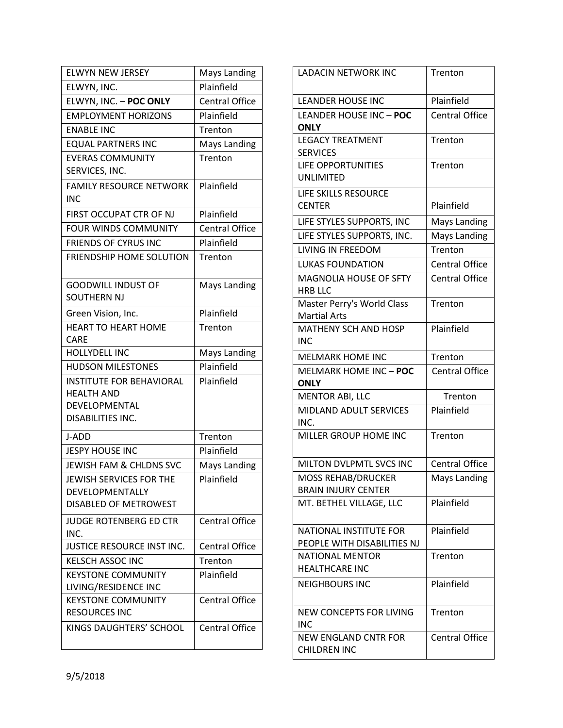| <b>ELWYN NEW JERSEY</b>                           | <b>Mays Landing</b>   |
|---------------------------------------------------|-----------------------|
| ELWYN, INC.                                       | Plainfield            |
| ELWYN, INC. - POC ONLY                            | <b>Central Office</b> |
| <b>EMPLOYMENT HORIZONS</b>                        | Plainfield            |
| <b>ENABLE INC</b>                                 | Trenton               |
| <b>EQUAL PARTNERS INC</b>                         | <b>Mays Landing</b>   |
| <b>EVERAS COMMUNITY</b>                           | Trenton               |
| SERVICES, INC.                                    |                       |
| <b>FAMILY RESOURCE NETWORK</b>                    | Plainfield            |
| <b>INC</b>                                        |                       |
| FIRST OCCUPAT CTR OF NJ                           | Plainfield            |
| <b>FOUR WINDS COMMUNITY</b>                       | <b>Central Office</b> |
| <b>FRIENDS OF CYRUS INC</b>                       | Plainfield            |
| FRIENDSHIP HOME SOLUTION                          | Trenton               |
|                                                   |                       |
| <b>GOODWILL INDUST OF</b>                         | Mays Landing          |
| SOUTHERN NJ                                       |                       |
| Green Vision, Inc.                                | Plainfield            |
| <b>HEART TO HEART HOME</b>                        | Trenton               |
| <b>CARE</b>                                       |                       |
| <b>HOLLYDELL INC</b>                              | <b>Mays Landing</b>   |
| <b>HUDSON MILESTONES</b>                          | Plainfield            |
| <b>INSTITUTE FOR BEHAVIORAL</b>                   | Plainfield            |
| <b>HEALTH AND</b>                                 |                       |
| DEVELOPMENTAL<br>DISABILITIES INC.                |                       |
|                                                   |                       |
| J-ADD                                             | Trenton               |
| <b>JESPY HOUSE INC</b>                            | Plainfield            |
| JEWISH FAM & CHLDNS SVC                           | <b>Mays Landing</b>   |
| JEWISH SERVICES FOR THE                           | Plainfield            |
| DEVELOPMENTALLY                                   |                       |
| <b>DISABLED OF METROWEST</b>                      |                       |
| JUDGE ROTENBERG ED CTR                            | <b>Central Office</b> |
| INC.                                              |                       |
| JUSTICE RESOURCE INST INC.                        | <b>Central Office</b> |
| <b>KELSCH ASSOC INC</b>                           | Trenton               |
| <b>KEYSTONE COMMUNITY</b>                         | Plainfield            |
| LIVING/RESIDENCE INC<br><b>KEYSTONE COMMUNITY</b> | <b>Central Office</b> |
| <b>RESOURCES INC</b>                              |                       |
| KINGS DAUGHTERS' SCHOOL                           | <b>Central Office</b> |
|                                                   |                       |
|                                                   |                       |

| <b>LADACIN NETWORK INC</b>                                   | Trenton               |
|--------------------------------------------------------------|-----------------------|
| <b>LEANDER HOUSE INC</b>                                     | Plainfield            |
| <b>LEANDER HOUSE INC - POC</b><br><b>ONLY</b>                | <b>Central Office</b> |
| <b>LEGACY TREATMENT</b><br><b>SERVICES</b>                   | Trenton               |
| LIFE OPPORTUNITIES<br><b>UNLIMITED</b>                       | Trenton               |
| LIFE SKILLS RESOURCE<br><b>CENTER</b>                        | Plainfield            |
| LIFE STYLES SUPPORTS, INC                                    | Mays Landing          |
| LIFE STYLES SUPPORTS, INC.                                   | <b>Mays Landing</b>   |
| <b>LIVING IN FREEDOM</b>                                     | Trenton               |
| <b>LUKAS FOUNDATION</b>                                      | <b>Central Office</b> |
| <b>MAGNOLIA HOUSE OF SFTY</b><br><b>HRB LLC</b>              | <b>Central Office</b> |
| Master Perry's World Class<br>Martial Arts                   | Trenton               |
| <b>MATHENY SCH AND HOSP</b><br>INC                           | Plainfield            |
| <b>MELMARK HOME INC</b>                                      | Trenton               |
| MELMARK HOME INC - POC<br>ONLY                               | <b>Central Office</b> |
| <b>MENTOR ABI, LLC</b>                                       | Trenton               |
| <b>MIDLAND ADULT SERVICES</b><br>INC.                        | Plainfield            |
| MILLER GROUP HOME INC                                        | Trenton               |
| MILTON DVLPMTL SVCS INC                                      | <b>Central Office</b> |
| <b>MOSS REHAB/DRUCKER</b><br><b>BRAIN INJURY CENTER</b>      | Mays Landing          |
| MT. BETHEL VILLAGE, LLC                                      | Plainfield            |
| <b>NATIONAL INSTITUTE FOR</b><br>PEOPLE WITH DISABILITIES NJ | Plainfield            |
| <b>NATIONAL MENTOR</b><br><b>HEALTHCARE INC</b>              | Trenton               |
| <b>NEIGHBOURS INC</b>                                        | Plainfield            |
| <b>NEW CONCEPTS FOR LIVING</b><br>INC                        | Trenton               |
| <b>NEW ENGLAND CNTR FOR</b>                                  |                       |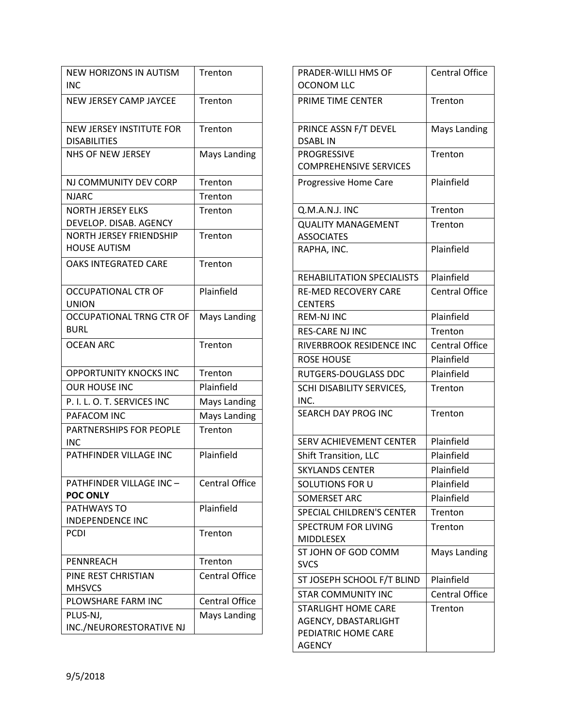| <b>NEW HORIZONS IN AUTISM</b><br>INC                   | Trenton               |
|--------------------------------------------------------|-----------------------|
| <b>NEW JERSEY CAMP JAYCEE</b>                          | Trenton               |
| <b>NEW JERSEY INSTITUTE FOR</b><br><b>DISABILITIES</b> | Trenton               |
| <b>NHS OF NEW JERSEY</b>                               | <b>Mays Landing</b>   |
| NJ COMMUNITY DEV CORP                                  | Trenton               |
| NJARC                                                  | Trenton               |
| <b>NORTH JERSEY ELKS</b><br>DEVELOP. DISAB. AGENCY     | Trenton               |
| <b>NORTH JERSEY FRIENDSHIP</b><br><b>HOUSE AUTISM</b>  | Trenton               |
| <b>OAKS INTEGRATED CARE</b>                            | Trenton               |
| <b>OCCUPATIONAL CTR OF</b><br><b>UNION</b>             | Plainfield            |
| <b>OCCUPATIONAL TRNG CTR OF</b><br><b>BURL</b>         | <b>Mays Landing</b>   |
| <b>OCEAN ARC</b>                                       | Trenton               |
| <b>OPPORTUNITY KNOCKS INC</b>                          | Trenton               |
| <b>OUR HOUSE INC</b>                                   | Plainfield            |
| P. I. L. O. T. SERVICES INC                            | <b>Mays Landing</b>   |
| PAFACOM INC                                            | <b>Mays Landing</b>   |
| <b>PARTNERSHIPS FOR PEOPLE</b><br>INC                  | Trenton               |
| PATHFINDER VILLAGE INC                                 | Plainfield            |
| PATHFINDER VILLAGE INC-<br><b>POC ONLY</b>             | <b>Central Office</b> |
| PATHWAYS TO<br><b>INDEPENDENCE INC</b>                 | Plainfield            |
| <b>PCDI</b>                                            | Trenton               |
| <b>PENNREACH</b>                                       | Trenton               |
| PINE REST CHRISTIAN<br><b>MHSVCS</b>                   | <b>Central Office</b> |
| PLOWSHARE FARM INC                                     | <b>Central Office</b> |
| PLUS-NJ,<br>INC./NEURORESTORATIVE NJ                   | <b>Mays Landing</b>   |

| <b>PRADER-WILLI HMS OF</b>                                                                 | <b>Central Office</b> |
|--------------------------------------------------------------------------------------------|-----------------------|
| <b>OCONOM LLC</b>                                                                          |                       |
| PRIME TIME CENTER                                                                          | Trenton               |
| PRINCE ASSN F/T DEVEL<br><b>DSABLIN</b>                                                    | <b>Mays Landing</b>   |
| <b>PROGRESSIVE</b>                                                                         | Trenton               |
| <b>COMPREHENSIVE SERVICES</b>                                                              |                       |
| Progressive Home Care                                                                      | Plainfield            |
| Q.M.A.N.J. INC                                                                             | Trenton               |
| <b>QUALITY MANAGEMENT</b><br><b>ASSOCIATES</b>                                             | Trenton               |
| RAPHA, INC.                                                                                | Plainfield            |
| <b>REHABILITATION SPECIALISTS</b>                                                          | Plainfield            |
| <b>RE-MED RECOVERY CARE</b>                                                                | <b>Central Office</b> |
| <b>CENTERS</b>                                                                             |                       |
| <b>REM-NJ INC</b>                                                                          | Plainfield            |
| <b>RES-CARE NJ INC</b>                                                                     | Trenton               |
| RIVERBROOK RESIDENCE INC                                                                   | <b>Central Office</b> |
| <b>ROSE HOUSE</b>                                                                          | Plainfield            |
| <b>RUTGERS-DOUGLASS DDC</b>                                                                | Plainfield            |
| SCHI DISABILITY SERVICES,<br>INC.                                                          | Trenton               |
| <b>SEARCH DAY PROG INC</b>                                                                 | Trenton               |
| <b>SERV ACHIEVEMENT CENTER</b>                                                             | Plainfield            |
| <b>Shift Transition, LLC</b>                                                               | Plainfield            |
| <b>SKYLANDS CENTER</b>                                                                     | Plainfield            |
| SOLUTIONS FOR U                                                                            | Plainfield            |
| <b>SOMERSET ARC</b>                                                                        | Plainfield            |
| <b>SPECIAL CHILDREN'S CENTER</b>                                                           | Trenton               |
| <b>SPECTRUM FOR LIVING</b>                                                                 | Trenton               |
| <b>MIDDLESEX</b>                                                                           |                       |
| ST JOHN OF GOD COMM                                                                        | <b>Mays Landing</b>   |
| <b>SVCS</b>                                                                                |                       |
| ST JOSEPH SCHOOL F/T BLIND                                                                 | Plainfield            |
| <b>STAR COMMUNITY INC</b>                                                                  | <b>Central Office</b> |
| <b>STARLIGHT HOME CARE</b><br>AGENCY, DBASTARLIGHT<br>PEDIATRIC HOME CARE<br><b>AGENCY</b> | Trenton               |